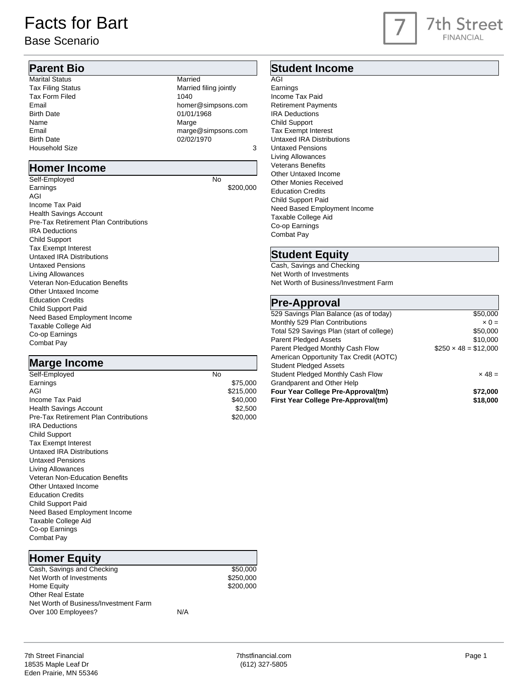# Facts for Bart

#### Base Scenario

# 7th Street **FINANCIAL**

#### **Parent Bio**

Marital Status Married<br>
Tax Filing Status Married<br>
Married Married filing jointly Tax Form Filed 1040 Email home many states of the mail home many states of the mail of the mail of the mail of the mail of the mail of the mail of the mail of the mail of the mail of the mail of the mail of the mail of the mail of the mail of Birth Date 01/01/1968 Name Marge Marge Marge Marge Marge Marge Marge Marge Marge Marge Marge Marge Marge Marge Marge Marge Marge Marge  $\sim$ Email marge @simpsons.com Birth Date 02/02/1970 Household Size 3

#### **Homer Income**

Self-Employed No Earnings \$200,000 AGI Income Tax Paid Health Savings Account Pre-Tax Retirement Plan Contributions IRA Deductions Child Support Tax Exempt Interest Untaxed IRA Distributions Untaxed Pensions Living Allowances Veteran Non-Education Benefits Other Untaxed Income Education Credits Child Support Paid Need Based Employment Income Taxable College Aid Co-op Earnings Combat Pay

#### **Marge Income**

| Self-Employed                         | No |           |
|---------------------------------------|----|-----------|
| Earnings                              |    | \$75,000  |
| AGI                                   |    | \$215,000 |
| Income Tax Paid                       |    | \$40,000  |
| <b>Health Savings Account</b>         |    | \$2,500   |
| Pre-Tax Retirement Plan Contributions |    | \$20,000  |
| <b>IRA</b> Deductions                 |    |           |
| <b>Child Support</b>                  |    |           |
| <b>Tax Exempt Interest</b>            |    |           |
| Untaxed IRA Distributions             |    |           |
| Untaxed Pensions                      |    |           |
| <b>Living Allowances</b>              |    |           |
| Veteran Non-Education Benefits        |    |           |
| Other Untaxed Income                  |    |           |
| <b>Education Credits</b>              |    |           |
| Child Support Paid                    |    |           |
| Need Based Employment Income          |    |           |
| Taxable College Aid                   |    |           |
| Co-op Earnings                        |    |           |
| Combat Pay                            |    |           |

#### **Homer Equity**

Cash, Savings and Checking \$50,000 Net Worth of Investments \$250,000 Home Equity **\$200,000** Other Real Estate Net Worth of Business/Investment Farm Over 100 Employees? N/A

#### **Student Income**

AGI Earnings Income Tax Paid Retirement Payments IRA Deductions Child Support Tax Exempt Interest Untaxed IRA Distributions Untaxed Pensions Living Allowances Veterans Benefits Other Untaxed Income Other Monies Received Education Credits Child Support Paid Need Based Employment Income Taxable College Aid Co-op Earnings Combat Pay

#### **Student Equity**

Cash, Savings and Checking Net Worth of Investments Net Worth of Business/Investment Farm

#### **Pre-Approval**

| .                                         |                            |
|-------------------------------------------|----------------------------|
| 529 Savings Plan Balance (as of today)    | \$50,000                   |
| Monthly 529 Plan Contributions            | $\times 0 =$               |
| Total 529 Savings Plan (start of college) | \$50,000                   |
| <b>Parent Pledged Assets</b>              | \$10,000                   |
| Parent Pledged Monthly Cash Flow          | $$250 \times 48 = $12,000$ |
| American Opportunity Tax Credit (AOTC)    |                            |
| <b>Student Pledged Assets</b>             |                            |
| Student Pledged Monthly Cash Flow         | $\times$ 48 =              |
| Grandparent and Other Help                |                            |
| Four Year College Pre-Approval(tm)        | \$72.000                   |
| First Year College Pre-Approval(tm)       | \$18,000                   |
|                                           |                            |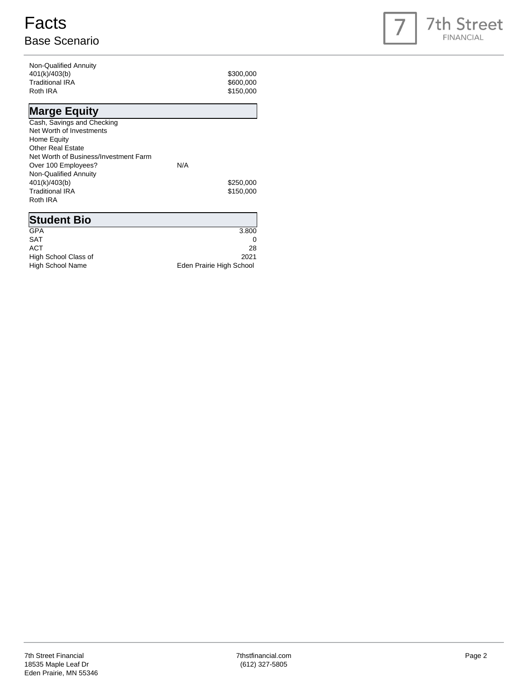# **Facts** Base Scenario



| Non-Qualified Annuity |           |
|-----------------------|-----------|
| 401(k)/403(b)         | \$300,000 |
| Traditional IRA       | \$600,000 |
| Roth IRA              | \$150,000 |
|                       |           |

## **Marge Equity**

| N/A |           |
|-----|-----------|
|     |           |
|     | \$250,000 |
|     | \$150,000 |
|     |           |
|     |           |

| <b>Student Bio</b>      |                          |
|-------------------------|--------------------------|
| <b>GPA</b>              | 3.800                    |
| <b>SAT</b>              |                          |
| ACT                     | 28                       |
| High School Class of    | 2021                     |
| <b>High School Name</b> | Eden Prairie High School |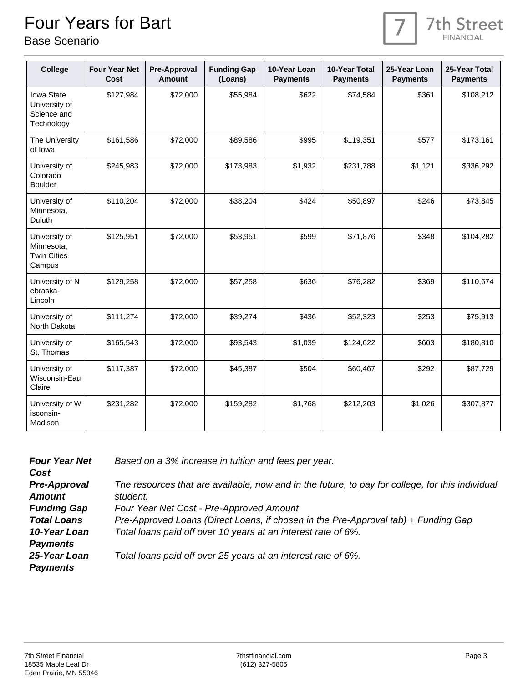# Four Years for Bart

Base Scenario



| <b>College</b>                                              | <b>Four Year Net</b><br>Cost | <b>Pre-Approval</b><br><b>Amount</b> | <b>Funding Gap</b><br>(Loans) | 10-Year Loan<br><b>Payments</b> | 10-Year Total<br><b>Payments</b> | 25-Year Loan<br><b>Payments</b> | 25-Year Total<br><b>Payments</b> |
|-------------------------------------------------------------|------------------------------|--------------------------------------|-------------------------------|---------------------------------|----------------------------------|---------------------------------|----------------------------------|
| Iowa State<br>University of<br>Science and<br>Technology    | \$127,984                    | \$72,000                             | \$55,984                      | \$622                           | \$74,584                         | \$361                           | \$108,212                        |
| The University<br>of lowa                                   | \$161,586                    | \$72,000                             | \$89,586                      | \$995                           | \$119,351                        | \$577                           | \$173,161                        |
| University of<br>Colorado<br><b>Boulder</b>                 | \$245,983                    | \$72,000                             | \$173,983                     | \$1,932                         | \$231,788                        | \$1,121                         | \$336,292                        |
| University of<br>Minnesota,<br>Duluth                       | \$110,204                    | \$72,000                             | \$38,204                      | \$424                           | \$50,897                         | \$246                           | \$73,845                         |
| University of<br>Minnesota,<br><b>Twin Cities</b><br>Campus | \$125,951                    | \$72,000                             | \$53,951                      | \$599                           | \$71,876                         | \$348                           | \$104,282                        |
| University of N<br>ebraska-<br>Lincoln                      | \$129,258                    | \$72,000                             | \$57,258                      | \$636                           | \$76,282                         | \$369                           | \$110,674                        |
| University of<br>North Dakota                               | \$111,274                    | \$72,000                             | \$39,274                      | \$436                           | \$52,323                         | \$253                           | \$75,913                         |
| University of<br>St. Thomas                                 | \$165,543                    | \$72,000                             | \$93,543                      | \$1,039                         | \$124,622                        | \$603                           | \$180,810                        |
| University of<br>Wisconsin-Eau<br>Claire                    | \$117,387                    | \$72,000                             | \$45,387                      | \$504                           | \$60,467                         | \$292                           | \$87,729                         |
| University of W<br>isconsin-<br>Madison                     | \$231,282                    | \$72,000                             | \$159,282                     | \$1,768                         | \$212,203                        | \$1,026                         | \$307,877                        |

| <b>Four Year Net</b> | Based on a 3% increase in tuition and fees per year.                                             |
|----------------------|--------------------------------------------------------------------------------------------------|
| Cost                 |                                                                                                  |
| <b>Pre-Approval</b>  | The resources that are available, now and in the future, to pay for college, for this individual |
| <b>Amount</b>        | student.                                                                                         |
| <b>Funding Gap</b>   | Four Year Net Cost - Pre-Approved Amount                                                         |
| <b>Total Loans</b>   | Pre-Approved Loans (Direct Loans, if chosen in the Pre-Approval tab) + Funding Gap               |
| 10-Year Loan         | Total loans paid off over 10 years at an interest rate of 6%.                                    |
| <b>Payments</b>      |                                                                                                  |
| 25-Year Loan         | Total loans paid off over 25 years at an interest rate of 6%.                                    |
| <b>Payments</b>      |                                                                                                  |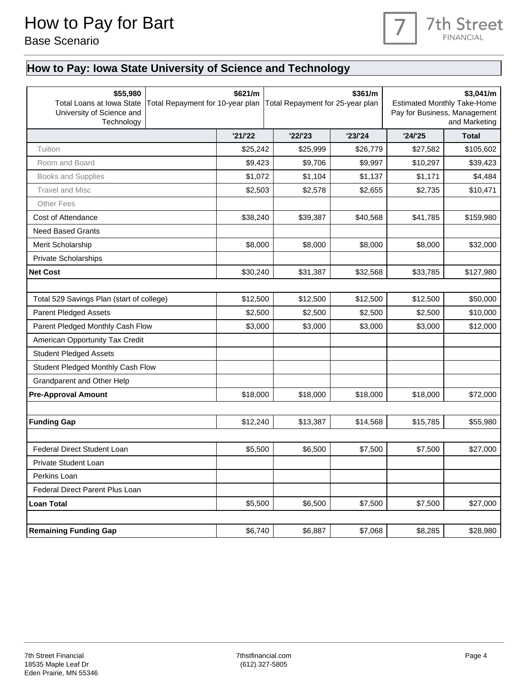

### **How to Pay: Iowa State University of Science and Technology**

| \$55,980<br>Total Loans at Iowa State<br>University of Science and<br>Technology | Total Repayment for 10-year plan | \$621/m  | \$361/m<br>Total Repayment for 25-year plan |          | \$3,041/m<br><b>Estimated Monthly Take-Home</b><br>Pay for Business, Management<br>and Marketing |              |  |
|----------------------------------------------------------------------------------|----------------------------------|----------|---------------------------------------------|----------|--------------------------------------------------------------------------------------------------|--------------|--|
|                                                                                  |                                  | '21/22   | '22'23                                      | '23/24   | '24/25                                                                                           | <b>Total</b> |  |
| Tuition                                                                          |                                  | \$25,242 | \$25,999                                    | \$26,779 | \$27,582                                                                                         | \$105,602    |  |
| Room and Board                                                                   |                                  | \$9,423  | \$9,706                                     | \$9,997  | \$10,297                                                                                         | \$39,423     |  |
| Books and Supplies                                                               |                                  | \$1,072  | \$1,104                                     | \$1,137  | \$1,171                                                                                          | \$4,484      |  |
| <b>Travel and Misc</b>                                                           |                                  | \$2,503  | \$2,578                                     | \$2,655  | \$2,735                                                                                          | \$10,471     |  |
| <b>Other Fees</b>                                                                |                                  |          |                                             |          |                                                                                                  |              |  |
| Cost of Attendance                                                               |                                  | \$38,240 | \$39,387                                    | \$40,568 | \$41,785                                                                                         | \$159,980    |  |
| <b>Need Based Grants</b>                                                         |                                  |          |                                             |          |                                                                                                  |              |  |
| Merit Scholarship                                                                |                                  | \$8,000  | \$8,000                                     | \$8,000  | \$8,000                                                                                          | \$32,000     |  |
| <b>Private Scholarships</b>                                                      |                                  |          |                                             |          |                                                                                                  |              |  |
| <b>Net Cost</b>                                                                  |                                  | \$30,240 | \$31,387                                    | \$32,568 | \$33,785                                                                                         | \$127,980    |  |
|                                                                                  |                                  |          |                                             |          |                                                                                                  |              |  |
| Total 529 Savings Plan (start of college)                                        |                                  | \$12,500 | \$12,500                                    | \$12,500 | \$12,500                                                                                         | \$50,000     |  |
| <b>Parent Pledged Assets</b>                                                     |                                  | \$2,500  | \$2,500                                     | \$2,500  | \$2,500                                                                                          | \$10,000     |  |
|                                                                                  | Parent Pledged Monthly Cash Flow |          | \$3,000<br>\$3,000                          | \$3,000  | \$3,000                                                                                          | \$12,000     |  |
| American Opportunity Tax Credit                                                  |                                  |          |                                             |          |                                                                                                  |              |  |
| <b>Student Pledged Assets</b>                                                    |                                  |          |                                             |          |                                                                                                  |              |  |
| Student Pledged Monthly Cash Flow                                                |                                  |          |                                             |          |                                                                                                  |              |  |
| Grandparent and Other Help                                                       |                                  |          |                                             |          |                                                                                                  |              |  |
| <b>Pre-Approval Amount</b>                                                       |                                  | \$18,000 | \$18,000                                    | \$18,000 | \$18,000                                                                                         | \$72,000     |  |
|                                                                                  |                                  |          |                                             |          |                                                                                                  |              |  |
| <b>Funding Gap</b>                                                               |                                  | \$12,240 | \$13,387                                    | \$14,568 | \$15,785                                                                                         | \$55,980     |  |
|                                                                                  |                                  |          |                                             |          |                                                                                                  |              |  |
| <b>Federal Direct Student Loan</b>                                               |                                  | \$5,500  | \$6,500                                     | \$7,500  | \$7,500                                                                                          | \$27,000     |  |
| Private Student Loan                                                             |                                  |          |                                             |          |                                                                                                  |              |  |
| Perkins Loan                                                                     |                                  |          |                                             |          |                                                                                                  |              |  |
| Federal Direct Parent Plus Loan                                                  |                                  |          |                                             |          |                                                                                                  |              |  |
| <b>Loan Total</b>                                                                |                                  | \$5,500  | \$6,500                                     | \$7,500  | \$7,500                                                                                          | \$27,000     |  |
|                                                                                  |                                  |          |                                             |          |                                                                                                  |              |  |
| <b>Remaining Funding Gap</b>                                                     |                                  | \$6,740  | \$6,887                                     | \$7,068  | \$8,285                                                                                          | \$28,980     |  |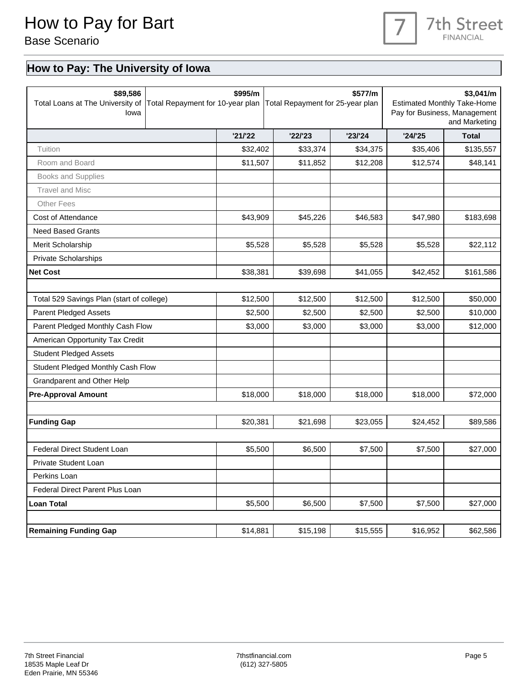

### **How to Pay: The University of Iowa**

| \$89,586<br>Total Loans at The University of<br>lowa |                                  | \$995/m  | \$577/m<br>Total Repayment for 10-year plan   Total Repayment for 25-year plan |          | \$3,041/m<br><b>Estimated Monthly Take-Home</b><br>Pay for Business, Management<br>and Marketing |              |  |
|------------------------------------------------------|----------------------------------|----------|--------------------------------------------------------------------------------|----------|--------------------------------------------------------------------------------------------------|--------------|--|
|                                                      |                                  | '21/22   | '22'23                                                                         | '23/24   | '24/25                                                                                           | <b>Total</b> |  |
| Tuition                                              |                                  | \$32,402 | \$33,374                                                                       | \$34,375 | \$35,406                                                                                         | \$135,557    |  |
| Room and Board                                       |                                  | \$11,507 | \$11,852                                                                       | \$12,208 | \$12,574                                                                                         | \$48,141     |  |
| Books and Supplies                                   |                                  |          |                                                                                |          |                                                                                                  |              |  |
| <b>Travel and Misc</b>                               |                                  |          |                                                                                |          |                                                                                                  |              |  |
| <b>Other Fees</b>                                    |                                  |          |                                                                                |          |                                                                                                  |              |  |
| Cost of Attendance                                   |                                  | \$43,909 | \$45,226                                                                       | \$46,583 | \$47,980                                                                                         | \$183,698    |  |
| <b>Need Based Grants</b>                             |                                  |          |                                                                                |          |                                                                                                  |              |  |
| Merit Scholarship                                    |                                  | \$5,528  | \$5,528                                                                        | \$5,528  | \$5,528                                                                                          | \$22,112     |  |
| <b>Private Scholarships</b>                          |                                  |          |                                                                                |          |                                                                                                  |              |  |
| <b>Net Cost</b>                                      |                                  | \$38,381 | \$39,698                                                                       | \$41,055 | \$42,452                                                                                         | \$161,586    |  |
|                                                      |                                  |          |                                                                                |          |                                                                                                  |              |  |
| Total 529 Savings Plan (start of college)            |                                  | \$12,500 | \$12,500                                                                       | \$12,500 | \$12,500                                                                                         | \$50,000     |  |
| <b>Parent Pledged Assets</b>                         |                                  | \$2,500  | \$2,500                                                                        | \$2,500  | \$2,500                                                                                          | \$10,000     |  |
|                                                      | Parent Pledged Monthly Cash Flow |          | \$3,000<br>\$3,000                                                             | \$3,000  | \$3,000                                                                                          | \$12,000     |  |
| American Opportunity Tax Credit                      |                                  |          |                                                                                |          |                                                                                                  |              |  |
| <b>Student Pledged Assets</b>                        |                                  |          |                                                                                |          |                                                                                                  |              |  |
| Student Pledged Monthly Cash Flow                    |                                  |          |                                                                                |          |                                                                                                  |              |  |
| Grandparent and Other Help                           |                                  |          |                                                                                |          |                                                                                                  |              |  |
| <b>Pre-Approval Amount</b>                           |                                  | \$18,000 | \$18,000                                                                       | \$18,000 | \$18,000                                                                                         | \$72,000     |  |
|                                                      |                                  |          |                                                                                |          |                                                                                                  |              |  |
| <b>Funding Gap</b>                                   |                                  | \$20,381 | \$21,698                                                                       | \$23,055 | \$24,452                                                                                         | \$89,586     |  |
|                                                      |                                  |          |                                                                                |          |                                                                                                  |              |  |
| Federal Direct Student Loan                          |                                  | \$5,500  | \$6,500                                                                        | \$7,500  | \$7,500                                                                                          | \$27,000     |  |
| Private Student Loan                                 |                                  |          |                                                                                |          |                                                                                                  |              |  |
| Perkins Loan                                         |                                  |          |                                                                                |          |                                                                                                  |              |  |
| Federal Direct Parent Plus Loan                      |                                  |          |                                                                                |          |                                                                                                  |              |  |
| <b>Loan Total</b>                                    |                                  | \$5,500  | \$6,500                                                                        | \$7,500  | \$7,500                                                                                          | \$27,000     |  |
|                                                      |                                  |          |                                                                                |          |                                                                                                  |              |  |
| <b>Remaining Funding Gap</b>                         |                                  | \$14,881 | \$15,198                                                                       | \$15,555 | \$16,952                                                                                         | \$62,586     |  |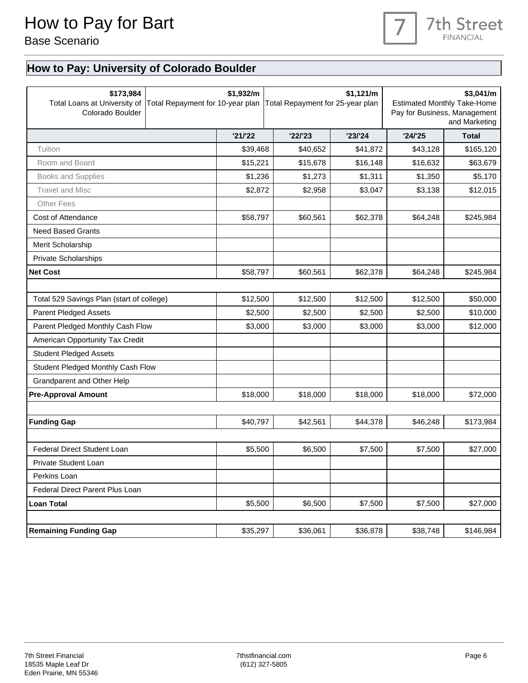### 7th Street **FINANCIAL**

#### **How to Pay: University of Colorado Boulder**

| \$173,984<br>Total Loans at University of<br>Colorado Boulder |  | \$1,932/m | \$1,121/m<br>Total Repayment for 10-year plan   Total Repayment for 25-year plan |          | \$3,041/m<br><b>Estimated Monthly Take-Home</b><br>Pay for Business, Management<br>and Marketing |              |
|---------------------------------------------------------------|--|-----------|----------------------------------------------------------------------------------|----------|--------------------------------------------------------------------------------------------------|--------------|
|                                                               |  | '21/22    | '22'23                                                                           | '23/24   | '24/25                                                                                           | <b>Total</b> |
| Tuition                                                       |  | \$39,468  | \$40,652                                                                         | \$41,872 | \$43,128                                                                                         | \$165,120    |
| Room and Board                                                |  | \$15,221  | \$15,678                                                                         | \$16,148 | \$16,632                                                                                         | \$63,679     |
| <b>Books and Supplies</b>                                     |  | \$1,236   | \$1,273                                                                          | \$1,311  | \$1,350                                                                                          | \$5,170      |
| <b>Travel and Misc</b>                                        |  | \$2,872   | \$2,958                                                                          | \$3,047  | \$3,138                                                                                          | \$12,015     |
| <b>Other Fees</b>                                             |  |           |                                                                                  |          |                                                                                                  |              |
| Cost of Attendance                                            |  | \$58,797  | \$60,561                                                                         | \$62,378 | \$64,248                                                                                         | \$245,984    |
| <b>Need Based Grants</b>                                      |  |           |                                                                                  |          |                                                                                                  |              |
| Merit Scholarship                                             |  |           |                                                                                  |          |                                                                                                  |              |
| <b>Private Scholarships</b>                                   |  |           |                                                                                  |          |                                                                                                  |              |
| <b>Net Cost</b>                                               |  | \$58,797  | \$60,561                                                                         | \$62,378 | \$64,248                                                                                         | \$245,984    |
|                                                               |  |           |                                                                                  |          |                                                                                                  |              |
| Total 529 Savings Plan (start of college)                     |  | \$12,500  | \$12,500                                                                         | \$12,500 | \$12,500                                                                                         | \$50,000     |
| <b>Parent Pledged Assets</b>                                  |  | \$2,500   | \$2,500                                                                          | \$2,500  | \$2,500                                                                                          | \$10,000     |
| Parent Pledged Monthly Cash Flow                              |  | \$3,000   | \$3,000                                                                          | \$3,000  | \$3,000                                                                                          | \$12,000     |
| American Opportunity Tax Credit                               |  |           |                                                                                  |          |                                                                                                  |              |
| <b>Student Pledged Assets</b>                                 |  |           |                                                                                  |          |                                                                                                  |              |
| Student Pledged Monthly Cash Flow                             |  |           |                                                                                  |          |                                                                                                  |              |
| Grandparent and Other Help                                    |  |           |                                                                                  |          |                                                                                                  |              |
| <b>Pre-Approval Amount</b>                                    |  | \$18,000  | \$18,000                                                                         | \$18,000 | \$18,000                                                                                         | \$72,000     |
|                                                               |  |           |                                                                                  |          |                                                                                                  |              |
| <b>Funding Gap</b>                                            |  | \$40,797  | \$42,561                                                                         | \$44,378 | \$46,248                                                                                         | \$173,984    |
|                                                               |  |           |                                                                                  |          |                                                                                                  |              |
| <b>Federal Direct Student Loan</b>                            |  | \$5,500   | \$6,500                                                                          | \$7,500  | \$7,500                                                                                          | \$27,000     |
| Private Student Loan                                          |  |           |                                                                                  |          |                                                                                                  |              |
| Perkins Loan                                                  |  |           |                                                                                  |          |                                                                                                  |              |
| Federal Direct Parent Plus Loan                               |  |           |                                                                                  |          |                                                                                                  |              |
| <b>Loan Total</b>                                             |  | \$5,500   | \$6,500                                                                          | \$7,500  | \$7,500                                                                                          | \$27,000     |
|                                                               |  |           |                                                                                  |          |                                                                                                  |              |
| <b>Remaining Funding Gap</b>                                  |  | \$35,297  | \$36,061                                                                         | \$36,878 | \$38,748                                                                                         | \$146,984    |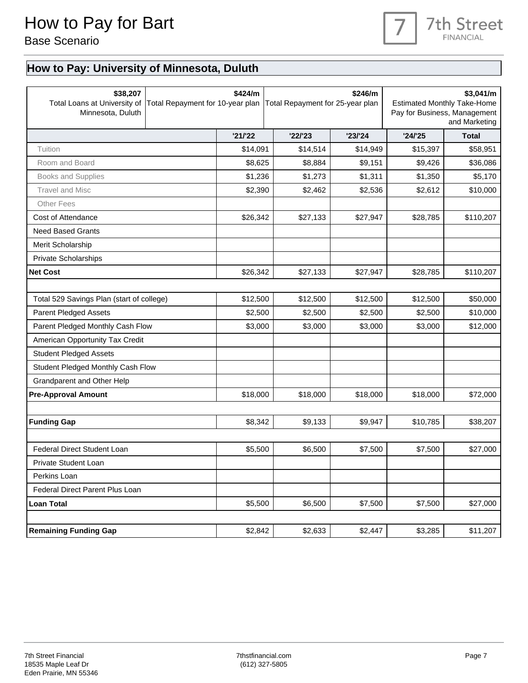### **7th Street FINANCIAL**

## **How to Pay: University of Minnesota, Duluth**

| \$38,207<br>Total Loans at University of Total Repayment for 10-year plan<br>Minnesota, Duluth |  | \$424/m  | \$246/m<br>Total Repayment for 25-year plan |          | \$3,041/m<br><b>Estimated Monthly Take-Home</b><br>Pay for Business, Management<br>and Marketing |              |
|------------------------------------------------------------------------------------------------|--|----------|---------------------------------------------|----------|--------------------------------------------------------------------------------------------------|--------------|
|                                                                                                |  | '21/22   | '22'23                                      | '23/24   | '24/25                                                                                           | <b>Total</b> |
| Tuition                                                                                        |  | \$14,091 | \$14,514                                    | \$14,949 | \$15,397                                                                                         | \$58,951     |
| Room and Board                                                                                 |  | \$8,625  | \$8,884                                     | \$9,151  | \$9,426                                                                                          | \$36,086     |
| <b>Books and Supplies</b>                                                                      |  | \$1,236  | \$1,273                                     | \$1,311  | \$1,350                                                                                          | \$5,170      |
| <b>Travel and Misc</b>                                                                         |  | \$2,390  | \$2,462                                     | \$2,536  | \$2,612                                                                                          | \$10,000     |
| <b>Other Fees</b>                                                                              |  |          |                                             |          |                                                                                                  |              |
| Cost of Attendance                                                                             |  | \$26,342 | \$27,133                                    | \$27,947 | \$28,785                                                                                         | \$110,207    |
| <b>Need Based Grants</b>                                                                       |  |          |                                             |          |                                                                                                  |              |
| Merit Scholarship                                                                              |  |          |                                             |          |                                                                                                  |              |
| <b>Private Scholarships</b>                                                                    |  |          |                                             |          |                                                                                                  |              |
| <b>Net Cost</b>                                                                                |  | \$26,342 | \$27,133                                    | \$27,947 | \$28,785                                                                                         | \$110,207    |
|                                                                                                |  |          |                                             |          |                                                                                                  |              |
| Total 529 Savings Plan (start of college)                                                      |  | \$12,500 | \$12,500                                    | \$12,500 | \$12,500                                                                                         | \$50,000     |
| <b>Parent Pledged Assets</b>                                                                   |  | \$2,500  | \$2,500                                     | \$2,500  | \$2,500                                                                                          | \$10,000     |
| Parent Pledged Monthly Cash Flow                                                               |  | \$3,000  | \$3,000                                     | \$3,000  | \$3,000                                                                                          | \$12,000     |
| American Opportunity Tax Credit                                                                |  |          |                                             |          |                                                                                                  |              |
| <b>Student Pledged Assets</b>                                                                  |  |          |                                             |          |                                                                                                  |              |
| Student Pledged Monthly Cash Flow                                                              |  |          |                                             |          |                                                                                                  |              |
| Grandparent and Other Help                                                                     |  |          |                                             |          |                                                                                                  |              |
| <b>Pre-Approval Amount</b>                                                                     |  | \$18,000 | \$18,000                                    | \$18,000 | \$18,000                                                                                         | \$72,000     |
|                                                                                                |  |          |                                             |          |                                                                                                  |              |
| <b>Funding Gap</b>                                                                             |  | \$8,342  | \$9,133                                     | \$9,947  | \$10,785                                                                                         | \$38,207     |
|                                                                                                |  |          |                                             |          |                                                                                                  |              |
| <b>Federal Direct Student Loan</b>                                                             |  | \$5,500  | \$6,500                                     | \$7,500  | \$7,500                                                                                          | \$27,000     |
| Private Student Loan                                                                           |  |          |                                             |          |                                                                                                  |              |
| Perkins Loan                                                                                   |  |          |                                             |          |                                                                                                  |              |
| Federal Direct Parent Plus Loan                                                                |  |          |                                             |          |                                                                                                  |              |
| <b>Loan Total</b>                                                                              |  | \$5,500  | \$6,500                                     | \$7,500  | \$7,500                                                                                          | \$27,000     |
|                                                                                                |  |          |                                             |          |                                                                                                  |              |
| <b>Remaining Funding Gap</b>                                                                   |  | \$2,842  | \$2,633                                     | \$2,447  | \$3,285                                                                                          | \$11,207     |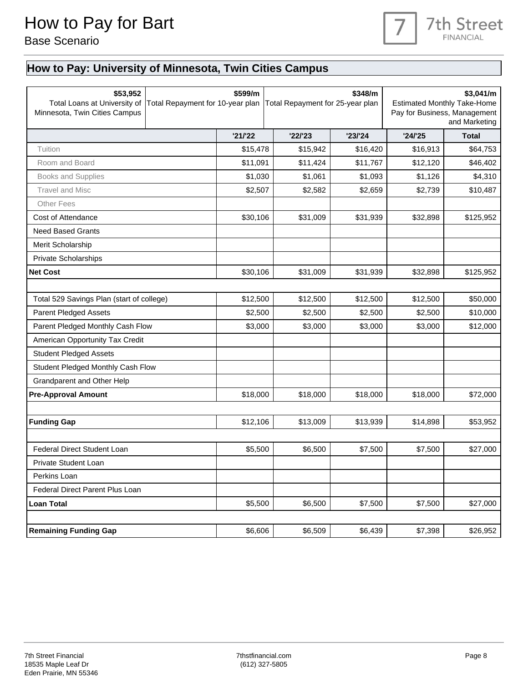

### <span id="page-7-0"></span>**How to Pay: University of Minnesota, Twin Cities Campus**

| \$53,952<br>Total Loans at University of<br>Minnesota, Twin Cities Campus |  | \$599/m  | \$348/m<br>Total Repayment for 10-year plan   Total Repayment for 25-year plan |          | \$3,041/m<br><b>Estimated Monthly Take-Home</b><br>Pay for Business, Management<br>and Marketing |              |
|---------------------------------------------------------------------------|--|----------|--------------------------------------------------------------------------------|----------|--------------------------------------------------------------------------------------------------|--------------|
|                                                                           |  | '21/22   | '22'23                                                                         | '23/24   | '24/25                                                                                           | <b>Total</b> |
| Tuition                                                                   |  | \$15,478 | \$15,942                                                                       | \$16,420 | \$16,913                                                                                         | \$64,753     |
| Room and Board                                                            |  | \$11,091 | \$11,424                                                                       | \$11,767 | \$12,120                                                                                         | \$46,402     |
| <b>Books and Supplies</b>                                                 |  | \$1,030  | \$1,061                                                                        | \$1,093  | \$1,126                                                                                          | \$4,310      |
| <b>Travel and Misc</b>                                                    |  | \$2,507  | \$2,582                                                                        | \$2,659  | \$2,739                                                                                          | \$10,487     |
| <b>Other Fees</b>                                                         |  |          |                                                                                |          |                                                                                                  |              |
| Cost of Attendance                                                        |  | \$30,106 | \$31,009                                                                       | \$31,939 | \$32,898                                                                                         | \$125,952    |
| <b>Need Based Grants</b>                                                  |  |          |                                                                                |          |                                                                                                  |              |
| Merit Scholarship                                                         |  |          |                                                                                |          |                                                                                                  |              |
| <b>Private Scholarships</b>                                               |  |          |                                                                                |          |                                                                                                  |              |
| <b>Net Cost</b>                                                           |  | \$30,106 | \$31,009                                                                       | \$31,939 | \$32,898                                                                                         | \$125,952    |
|                                                                           |  |          |                                                                                |          |                                                                                                  |              |
| Total 529 Savings Plan (start of college)                                 |  | \$12,500 | \$12,500                                                                       | \$12,500 | \$12,500                                                                                         | \$50,000     |
| <b>Parent Pledged Assets</b>                                              |  | \$2,500  | \$2,500                                                                        | \$2,500  | \$2,500                                                                                          | \$10,000     |
| Parent Pledged Monthly Cash Flow                                          |  | \$3,000  | \$3,000                                                                        | \$3,000  | \$3,000                                                                                          | \$12,000     |
| American Opportunity Tax Credit                                           |  |          |                                                                                |          |                                                                                                  |              |
| <b>Student Pledged Assets</b>                                             |  |          |                                                                                |          |                                                                                                  |              |
| Student Pledged Monthly Cash Flow                                         |  |          |                                                                                |          |                                                                                                  |              |
| Grandparent and Other Help                                                |  |          |                                                                                |          |                                                                                                  |              |
| <b>Pre-Approval Amount</b>                                                |  | \$18,000 | \$18,000                                                                       | \$18,000 | \$18,000                                                                                         | \$72,000     |
|                                                                           |  |          |                                                                                |          |                                                                                                  |              |
| <b>Funding Gap</b>                                                        |  | \$12,106 | \$13,009                                                                       | \$13,939 | \$14,898                                                                                         | \$53,952     |
|                                                                           |  |          |                                                                                |          |                                                                                                  |              |
| <b>Federal Direct Student Loan</b>                                        |  | \$5,500  | \$6,500                                                                        | \$7,500  | \$7,500                                                                                          | \$27,000     |
| Private Student Loan                                                      |  |          |                                                                                |          |                                                                                                  |              |
| Perkins Loan                                                              |  |          |                                                                                |          |                                                                                                  |              |
| Federal Direct Parent Plus Loan                                           |  |          |                                                                                |          |                                                                                                  |              |
| <b>Loan Total</b>                                                         |  | \$5,500  | \$6,500                                                                        | \$7,500  | \$7,500                                                                                          | \$27,000     |
|                                                                           |  |          |                                                                                |          |                                                                                                  |              |
| <b>Remaining Funding Gap</b>                                              |  | \$6,606  | \$6,509                                                                        | \$6,439  | \$7,398                                                                                          | \$26,952     |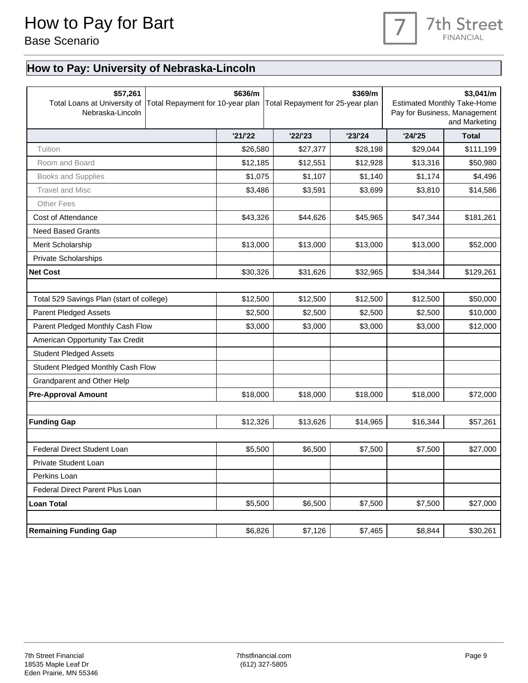### 7th Street **FINANCIAL**

### **How to Pay: University of Nebraska-Lincoln**

| \$57,261<br>Total Loans at University of<br>Nebraska-Lincoln | Total Repayment for 10-year plan | \$636/m  | \$369/m<br>Total Repayment for 25-year plan |          | \$3,041/m<br><b>Estimated Monthly Take-Home</b><br>Pay for Business, Management<br>and Marketing |              |  |
|--------------------------------------------------------------|----------------------------------|----------|---------------------------------------------|----------|--------------------------------------------------------------------------------------------------|--------------|--|
|                                                              |                                  | '21/22   | '22'23                                      | '23/24   | '24/25                                                                                           | <b>Total</b> |  |
| Tuition                                                      |                                  | \$26,580 | \$27,377                                    | \$28,198 | \$29,044                                                                                         | \$111,199    |  |
| Room and Board                                               |                                  | \$12,185 | \$12,551                                    | \$12,928 | \$13,316                                                                                         | \$50,980     |  |
| Books and Supplies                                           |                                  | \$1,075  | \$1,107                                     | \$1,140  | \$1,174                                                                                          | \$4,496      |  |
| <b>Travel and Misc</b>                                       |                                  | \$3,486  | \$3,591                                     | \$3,699  | \$3,810                                                                                          | \$14,586     |  |
| <b>Other Fees</b>                                            |                                  |          |                                             |          |                                                                                                  |              |  |
| Cost of Attendance                                           |                                  | \$43,326 | \$44,626                                    | \$45,965 | \$47,344                                                                                         | \$181,261    |  |
| <b>Need Based Grants</b>                                     |                                  |          |                                             |          |                                                                                                  |              |  |
| Merit Scholarship                                            |                                  | \$13,000 | \$13,000                                    | \$13,000 | \$13,000                                                                                         | \$52,000     |  |
| <b>Private Scholarships</b>                                  |                                  |          |                                             |          |                                                                                                  |              |  |
| <b>Net Cost</b>                                              |                                  | \$30,326 | \$31,626                                    | \$32,965 | \$34,344                                                                                         | \$129,261    |  |
|                                                              |                                  |          |                                             |          |                                                                                                  |              |  |
| Total 529 Savings Plan (start of college)                    |                                  | \$12,500 | \$12,500                                    | \$12,500 | \$12,500                                                                                         | \$50,000     |  |
| <b>Parent Pledged Assets</b>                                 |                                  | \$2,500  | \$2,500                                     | \$2,500  | \$2,500                                                                                          | \$10,000     |  |
| Parent Pledged Monthly Cash Flow                             |                                  | \$3,000  | \$3,000                                     | \$3,000  | \$3,000                                                                                          | \$12,000     |  |
| American Opportunity Tax Credit                              |                                  |          |                                             |          |                                                                                                  |              |  |
| <b>Student Pledged Assets</b>                                |                                  |          |                                             |          |                                                                                                  |              |  |
| Student Pledged Monthly Cash Flow                            |                                  |          |                                             |          |                                                                                                  |              |  |
| Grandparent and Other Help                                   |                                  |          |                                             |          |                                                                                                  |              |  |
| <b>Pre-Approval Amount</b>                                   |                                  | \$18,000 | \$18,000                                    | \$18,000 | \$18,000                                                                                         | \$72,000     |  |
|                                                              |                                  |          |                                             |          |                                                                                                  |              |  |
| <b>Funding Gap</b>                                           |                                  | \$12,326 | \$13,626                                    | \$14,965 | \$16,344                                                                                         | \$57,261     |  |
|                                                              |                                  |          |                                             |          |                                                                                                  |              |  |
| <b>Federal Direct Student Loan</b>                           |                                  | \$5,500  | \$6,500                                     | \$7,500  | \$7,500                                                                                          | \$27,000     |  |
| Private Student Loan                                         |                                  |          |                                             |          |                                                                                                  |              |  |
| Perkins Loan                                                 |                                  |          |                                             |          |                                                                                                  |              |  |
| Federal Direct Parent Plus Loan                              |                                  |          |                                             |          |                                                                                                  |              |  |
| <b>Loan Total</b>                                            |                                  | \$5,500  | \$6,500                                     | \$7,500  | \$7,500                                                                                          | \$27,000     |  |
|                                                              |                                  |          |                                             |          |                                                                                                  |              |  |
| <b>Remaining Funding Gap</b>                                 |                                  | \$6,826  | \$7,126                                     | \$7,465  | \$8,844                                                                                          | \$30,261     |  |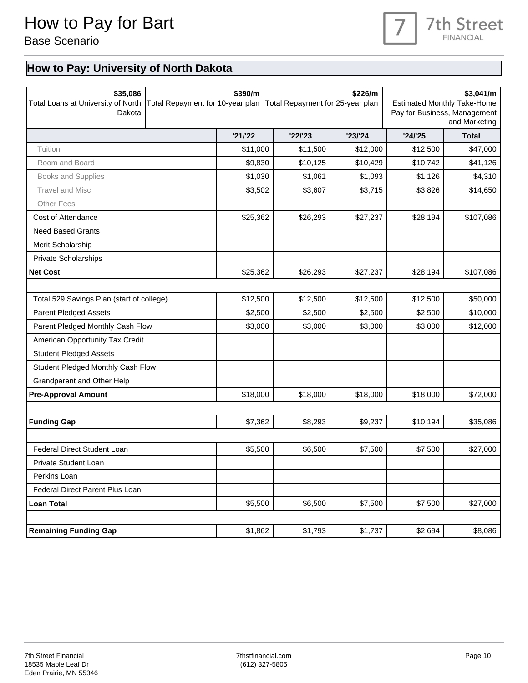#### 7th Street **FINANCIAL**

#### **How to Pay: University of North Dakota**

| \$35,086<br>Total Loans at University of North<br>Dakota | Total Repayment for 10-year plan | \$390/m<br>\$226/m<br>Total Repayment for 25-year plan |          |          | \$3,041/m<br><b>Estimated Monthly Take-Home</b><br>Pay for Business, Management<br>and Marketing |              |
|----------------------------------------------------------|----------------------------------|--------------------------------------------------------|----------|----------|--------------------------------------------------------------------------------------------------|--------------|
|                                                          |                                  | '21/22                                                 | '22'23   | '23/24   | '24/25                                                                                           | <b>Total</b> |
| Tuition                                                  |                                  | \$11,000                                               | \$11,500 | \$12,000 | \$12,500                                                                                         | \$47,000     |
| Room and Board                                           |                                  | \$9,830                                                | \$10,125 | \$10,429 | \$10,742                                                                                         | \$41,126     |
| Books and Supplies                                       |                                  | \$1,030                                                | \$1,061  | \$1,093  | \$1,126                                                                                          | \$4,310      |
| <b>Travel and Misc</b>                                   |                                  | \$3,502                                                | \$3,607  | \$3,715  | \$3,826                                                                                          | \$14,650     |
| <b>Other Fees</b>                                        |                                  |                                                        |          |          |                                                                                                  |              |
| Cost of Attendance                                       |                                  | \$25,362                                               | \$26,293 | \$27,237 | \$28,194                                                                                         | \$107,086    |
| <b>Need Based Grants</b>                                 |                                  |                                                        |          |          |                                                                                                  |              |
| Merit Scholarship                                        |                                  |                                                        |          |          |                                                                                                  |              |
| <b>Private Scholarships</b>                              |                                  |                                                        |          |          |                                                                                                  |              |
| <b>Net Cost</b>                                          |                                  | \$25,362                                               | \$26,293 | \$27,237 | \$28,194                                                                                         | \$107,086    |
|                                                          |                                  |                                                        |          |          |                                                                                                  |              |
| Total 529 Savings Plan (start of college)                |                                  | \$12,500                                               | \$12,500 | \$12,500 | \$12,500                                                                                         | \$50,000     |
| <b>Parent Pledged Assets</b>                             |                                  | \$2,500                                                | \$2,500  | \$2,500  | \$2,500                                                                                          | \$10,000     |
| Parent Pledged Monthly Cash Flow                         |                                  | \$3,000                                                | \$3,000  | \$3,000  | \$3,000                                                                                          | \$12,000     |
| American Opportunity Tax Credit                          |                                  |                                                        |          |          |                                                                                                  |              |
| <b>Student Pledged Assets</b>                            |                                  |                                                        |          |          |                                                                                                  |              |
| Student Pledged Monthly Cash Flow                        |                                  |                                                        |          |          |                                                                                                  |              |
| Grandparent and Other Help                               |                                  |                                                        |          |          |                                                                                                  |              |
| <b>Pre-Approval Amount</b>                               |                                  | \$18,000                                               | \$18,000 | \$18,000 | \$18,000                                                                                         | \$72,000     |
|                                                          |                                  |                                                        |          |          |                                                                                                  |              |
| <b>Funding Gap</b>                                       |                                  | \$7,362                                                | \$8,293  | \$9,237  | \$10,194                                                                                         | \$35,086     |
|                                                          |                                  |                                                        |          |          |                                                                                                  |              |
| <b>Federal Direct Student Loan</b>                       |                                  | \$5,500                                                | \$6,500  | \$7,500  | \$7,500                                                                                          | \$27,000     |
| Private Student Loan                                     |                                  |                                                        |          |          |                                                                                                  |              |
| Perkins Loan                                             |                                  |                                                        |          |          |                                                                                                  |              |
| Federal Direct Parent Plus Loan                          |                                  |                                                        |          |          |                                                                                                  |              |
| <b>Loan Total</b>                                        |                                  | \$5,500                                                | \$6,500  | \$7,500  | \$7,500                                                                                          | \$27,000     |
|                                                          |                                  |                                                        |          |          |                                                                                                  |              |
| <b>Remaining Funding Gap</b>                             |                                  | \$1,862                                                | \$1,793  | \$1,737  | \$2,694                                                                                          | \$8,086      |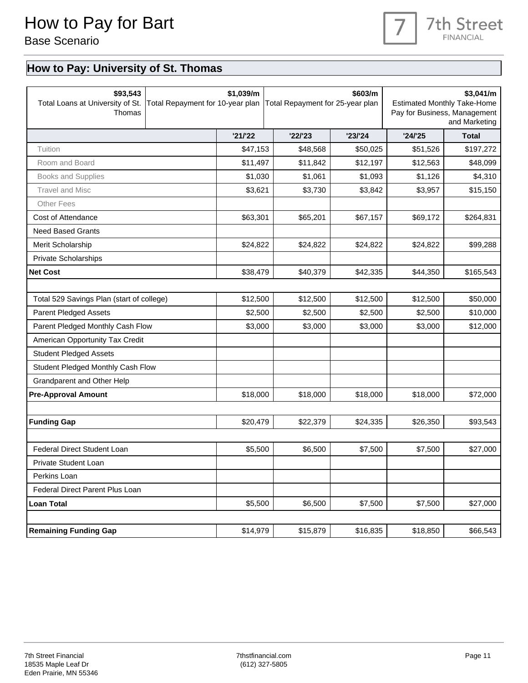### 7th Street **FINANCIAL**

#### **How to Pay: University of St. Thomas**

| \$93,543<br>Total Loans at University of St.<br>Thomas | Total Repayment for 10-year plan | \$1,039/m<br>\$603/m<br>Total Repayment for 25-year plan |          | \$3,041/m<br><b>Estimated Monthly Take-Home</b><br>Pay for Business, Management<br>and Marketing |          |              |
|--------------------------------------------------------|----------------------------------|----------------------------------------------------------|----------|--------------------------------------------------------------------------------------------------|----------|--------------|
|                                                        |                                  | '21/22                                                   | '22'23   | '23/24                                                                                           | '24/25   | <b>Total</b> |
| Tuition                                                |                                  | \$47,153                                                 | \$48,568 | \$50,025                                                                                         | \$51,526 | \$197,272    |
| Room and Board                                         |                                  | \$11,497                                                 | \$11,842 | \$12,197                                                                                         | \$12,563 | \$48,099     |
| Books and Supplies                                     |                                  | \$1,030                                                  | \$1,061  | \$1,093                                                                                          | \$1,126  | \$4,310      |
| <b>Travel and Misc</b>                                 |                                  | \$3,621                                                  | \$3,730  | \$3,842                                                                                          | \$3,957  | \$15,150     |
| <b>Other Fees</b>                                      |                                  |                                                          |          |                                                                                                  |          |              |
| Cost of Attendance                                     |                                  | \$63,301                                                 | \$65,201 | \$67,157                                                                                         | \$69,172 | \$264,831    |
| <b>Need Based Grants</b>                               |                                  |                                                          |          |                                                                                                  |          |              |
| Merit Scholarship                                      |                                  | \$24,822                                                 | \$24,822 | \$24,822                                                                                         | \$24,822 | \$99,288     |
| <b>Private Scholarships</b>                            |                                  |                                                          |          |                                                                                                  |          |              |
| <b>Net Cost</b>                                        |                                  | \$38,479                                                 | \$40,379 | \$42,335                                                                                         | \$44,350 | \$165,543    |
|                                                        |                                  |                                                          |          |                                                                                                  |          |              |
| Total 529 Savings Plan (start of college)              |                                  | \$12,500                                                 | \$12,500 | \$12,500                                                                                         | \$12,500 | \$50,000     |
| <b>Parent Pledged Assets</b>                           |                                  | \$2,500                                                  | \$2,500  | \$2,500                                                                                          | \$2,500  | \$10,000     |
| Parent Pledged Monthly Cash Flow                       |                                  | \$3,000                                                  | \$3,000  | \$3,000                                                                                          | \$3,000  | \$12,000     |
| American Opportunity Tax Credit                        |                                  |                                                          |          |                                                                                                  |          |              |
| <b>Student Pledged Assets</b>                          |                                  |                                                          |          |                                                                                                  |          |              |
| Student Pledged Monthly Cash Flow                      |                                  |                                                          |          |                                                                                                  |          |              |
| Grandparent and Other Help                             |                                  |                                                          |          |                                                                                                  |          |              |
| <b>Pre-Approval Amount</b>                             |                                  | \$18,000                                                 | \$18,000 | \$18,000                                                                                         | \$18,000 | \$72,000     |
|                                                        |                                  |                                                          |          |                                                                                                  |          |              |
| <b>Funding Gap</b>                                     |                                  | \$20,479                                                 | \$22,379 | \$24,335                                                                                         | \$26,350 | \$93,543     |
|                                                        |                                  |                                                          |          |                                                                                                  |          |              |
| <b>Federal Direct Student Loan</b>                     |                                  | \$5,500                                                  | \$6,500  | \$7,500                                                                                          | \$7,500  | \$27,000     |
| Private Student Loan                                   |                                  |                                                          |          |                                                                                                  |          |              |
| Perkins Loan                                           |                                  |                                                          |          |                                                                                                  |          |              |
| Federal Direct Parent Plus Loan                        |                                  |                                                          |          |                                                                                                  |          |              |
| <b>Loan Total</b>                                      |                                  | \$5,500                                                  | \$6,500  | \$7,500                                                                                          | \$7,500  | \$27,000     |
|                                                        |                                  |                                                          |          |                                                                                                  |          |              |
| <b>Remaining Funding Gap</b>                           |                                  | \$14,979                                                 | \$15,879 | \$16,835                                                                                         | \$18,850 | \$66,543     |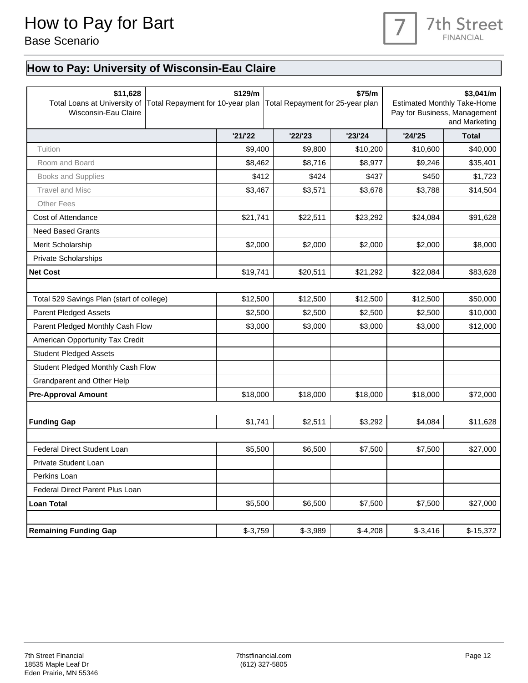

### **How to Pay: University of Wisconsin-Eau Claire**

| \$11,628<br>Total Loans at University of<br>Wisconsin-Eau Claire | Total Repayment for 10-year plan | \$129/m<br>\$75/m<br>Total Repayment for 25-year plan |           | \$3,041/m<br><b>Estimated Monthly Take-Home</b><br>Pay for Business, Management<br>and Marketing |           |              |
|------------------------------------------------------------------|----------------------------------|-------------------------------------------------------|-----------|--------------------------------------------------------------------------------------------------|-----------|--------------|
|                                                                  |                                  | '21/22                                                | '22'23    | '23/24                                                                                           | '24'25    | <b>Total</b> |
| Tuition                                                          |                                  | \$9,400                                               | \$9,800   | \$10,200                                                                                         | \$10,600  | \$40,000     |
| Room and Board                                                   |                                  | \$8,462                                               | \$8,716   | \$8,977                                                                                          | \$9,246   | \$35,401     |
| <b>Books and Supplies</b>                                        |                                  | \$412                                                 | \$424     | \$437                                                                                            | \$450     | \$1,723      |
| <b>Travel and Misc</b>                                           |                                  | \$3,467                                               | \$3,571   | \$3,678                                                                                          | \$3,788   | \$14,504     |
| <b>Other Fees</b>                                                |                                  |                                                       |           |                                                                                                  |           |              |
| Cost of Attendance                                               |                                  | \$21,741                                              | \$22,511  | \$23,292                                                                                         | \$24,084  | \$91,628     |
| <b>Need Based Grants</b>                                         |                                  |                                                       |           |                                                                                                  |           |              |
| Merit Scholarship                                                |                                  | \$2,000                                               | \$2,000   | \$2,000                                                                                          | \$2,000   | \$8,000      |
| Private Scholarships                                             |                                  |                                                       |           |                                                                                                  |           |              |
| <b>Net Cost</b>                                                  |                                  | \$19,741                                              | \$20,511  | \$21,292                                                                                         | \$22,084  | \$83,628     |
|                                                                  |                                  |                                                       |           |                                                                                                  |           |              |
| Total 529 Savings Plan (start of college)                        |                                  | \$12,500                                              | \$12,500  | \$12,500                                                                                         | \$12,500  | \$50,000     |
| <b>Parent Pledged Assets</b>                                     |                                  | \$2,500                                               | \$2,500   | \$2,500                                                                                          | \$2,500   | \$10,000     |
| Parent Pledged Monthly Cash Flow                                 |                                  | \$3,000                                               | \$3,000   | \$3,000                                                                                          | \$3,000   | \$12,000     |
| American Opportunity Tax Credit                                  |                                  |                                                       |           |                                                                                                  |           |              |
| <b>Student Pledged Assets</b>                                    |                                  |                                                       |           |                                                                                                  |           |              |
| Student Pledged Monthly Cash Flow                                |                                  |                                                       |           |                                                                                                  |           |              |
| Grandparent and Other Help                                       |                                  |                                                       |           |                                                                                                  |           |              |
| <b>Pre-Approval Amount</b>                                       |                                  | \$18,000                                              | \$18,000  | \$18,000                                                                                         | \$18,000  | \$72,000     |
|                                                                  |                                  |                                                       |           |                                                                                                  |           |              |
| <b>Funding Gap</b>                                               |                                  | \$1,741                                               | \$2,511   | \$3,292                                                                                          | \$4,084   | \$11,628     |
|                                                                  |                                  |                                                       |           |                                                                                                  |           |              |
| Federal Direct Student Loan                                      |                                  | \$5,500                                               | \$6,500   | \$7,500                                                                                          | \$7,500   | \$27,000     |
| Private Student Loan                                             |                                  |                                                       |           |                                                                                                  |           |              |
| Perkins Loan                                                     |                                  |                                                       |           |                                                                                                  |           |              |
| Federal Direct Parent Plus Loan                                  |                                  |                                                       |           |                                                                                                  |           |              |
| <b>Loan Total</b>                                                |                                  | \$5,500                                               | \$6,500   | \$7,500                                                                                          | \$7,500   | \$27,000     |
|                                                                  |                                  |                                                       |           |                                                                                                  |           |              |
| <b>Remaining Funding Gap</b>                                     |                                  | $$-3,759$                                             | $$-3,989$ | $$-4,208$                                                                                        | $$-3,416$ | $$-15,372$   |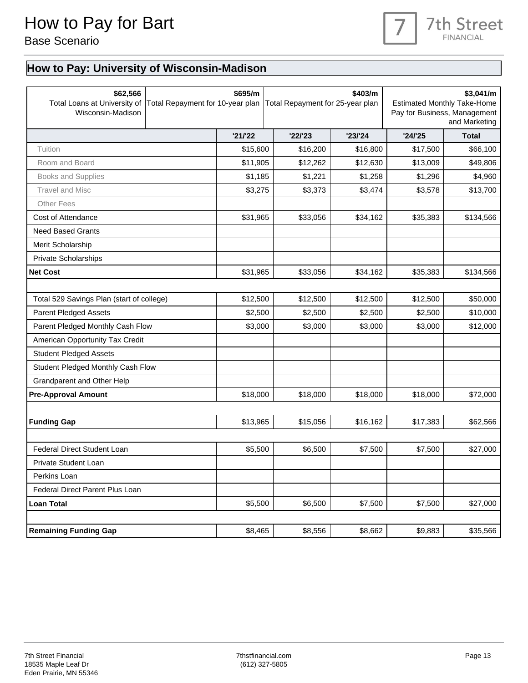

### **How to Pay: University of Wisconsin-Madison**

| \$62,566<br>Total Loans at University of<br>Wisconsin-Madison |  | \$695/m  | \$403/m<br>Total Repayment for 10-year plan   Total Repayment for 25-year plan |          | \$3,041/m<br><b>Estimated Monthly Take-Home</b><br>Pay for Business, Management<br>and Marketing |              |
|---------------------------------------------------------------|--|----------|--------------------------------------------------------------------------------|----------|--------------------------------------------------------------------------------------------------|--------------|
|                                                               |  | '21/22   | '22'23                                                                         | '23/24   | '24/25                                                                                           | <b>Total</b> |
| Tuition                                                       |  | \$15,600 | \$16,200                                                                       | \$16,800 | \$17,500                                                                                         | \$66,100     |
| Room and Board                                                |  | \$11,905 | \$12,262                                                                       | \$12,630 | \$13,009                                                                                         | \$49,806     |
| <b>Books and Supplies</b>                                     |  | \$1,185  | \$1,221                                                                        | \$1,258  | \$1,296                                                                                          | \$4,960      |
| <b>Travel and Misc</b>                                        |  | \$3,275  | \$3,373                                                                        | \$3,474  | \$3,578                                                                                          | \$13,700     |
| <b>Other Fees</b>                                             |  |          |                                                                                |          |                                                                                                  |              |
| Cost of Attendance                                            |  | \$31,965 | \$33,056                                                                       | \$34,162 | \$35,383                                                                                         | \$134,566    |
| <b>Need Based Grants</b>                                      |  |          |                                                                                |          |                                                                                                  |              |
| Merit Scholarship                                             |  |          |                                                                                |          |                                                                                                  |              |
| <b>Private Scholarships</b>                                   |  |          |                                                                                |          |                                                                                                  |              |
| <b>Net Cost</b>                                               |  | \$31,965 | \$33,056                                                                       | \$34,162 | \$35,383                                                                                         | \$134,566    |
|                                                               |  |          |                                                                                |          |                                                                                                  |              |
| Total 529 Savings Plan (start of college)                     |  | \$12,500 | \$12,500                                                                       | \$12,500 | \$12,500                                                                                         | \$50,000     |
| <b>Parent Pledged Assets</b>                                  |  | \$2,500  | \$2,500                                                                        | \$2,500  | \$2,500                                                                                          | \$10,000     |
| Parent Pledged Monthly Cash Flow                              |  | \$3,000  | \$3,000                                                                        | \$3,000  | \$3,000                                                                                          | \$12,000     |
| American Opportunity Tax Credit                               |  |          |                                                                                |          |                                                                                                  |              |
| <b>Student Pledged Assets</b>                                 |  |          |                                                                                |          |                                                                                                  |              |
| Student Pledged Monthly Cash Flow                             |  |          |                                                                                |          |                                                                                                  |              |
| Grandparent and Other Help                                    |  |          |                                                                                |          |                                                                                                  |              |
| <b>Pre-Approval Amount</b>                                    |  | \$18,000 | \$18,000                                                                       | \$18,000 | \$18,000                                                                                         | \$72,000     |
|                                                               |  |          |                                                                                |          |                                                                                                  |              |
| <b>Funding Gap</b>                                            |  | \$13,965 | \$15,056                                                                       | \$16,162 | \$17,383                                                                                         | \$62,566     |
|                                                               |  |          |                                                                                |          |                                                                                                  |              |
| <b>Federal Direct Student Loan</b>                            |  | \$5,500  | \$6,500                                                                        | \$7,500  | \$7,500                                                                                          | \$27,000     |
| Private Student Loan                                          |  |          |                                                                                |          |                                                                                                  |              |
| Perkins Loan                                                  |  |          |                                                                                |          |                                                                                                  |              |
| Federal Direct Parent Plus Loan                               |  |          |                                                                                |          |                                                                                                  |              |
| <b>Loan Total</b>                                             |  | \$5,500  | \$6,500                                                                        | \$7,500  | \$7,500                                                                                          | \$27,000     |
|                                                               |  |          |                                                                                |          |                                                                                                  |              |
| <b>Remaining Funding Gap</b>                                  |  | \$8,465  | \$8,556                                                                        | \$8,662  | \$9,883                                                                                          | \$35,566     |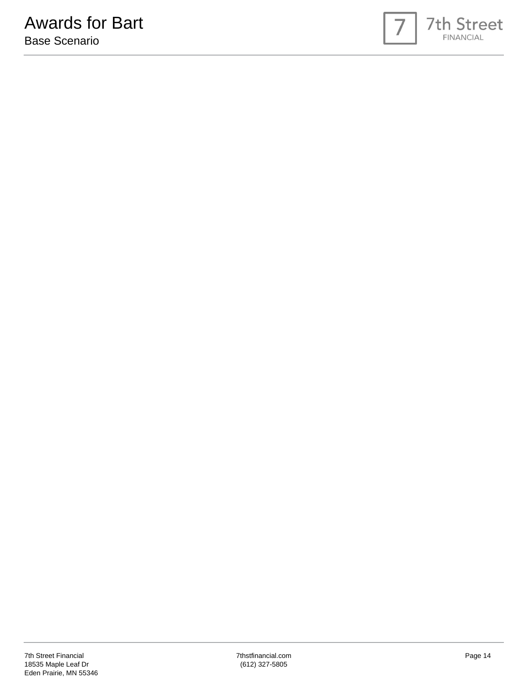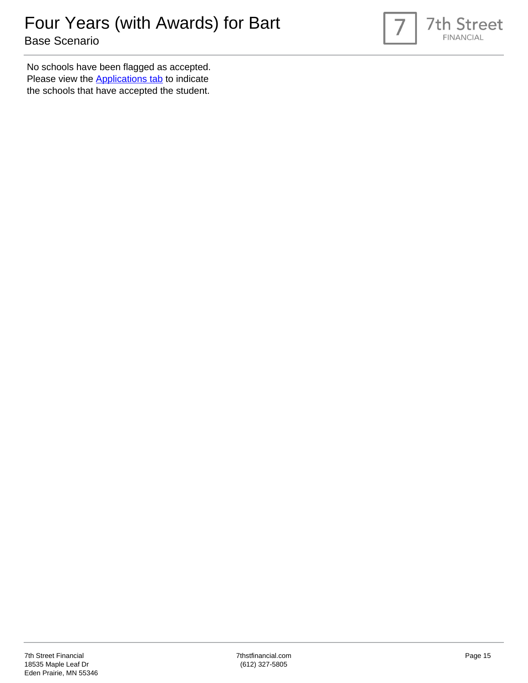

No schools have been flagged as accepted. Please view the **Applications tab** to indicate the schools that have accepted the student.